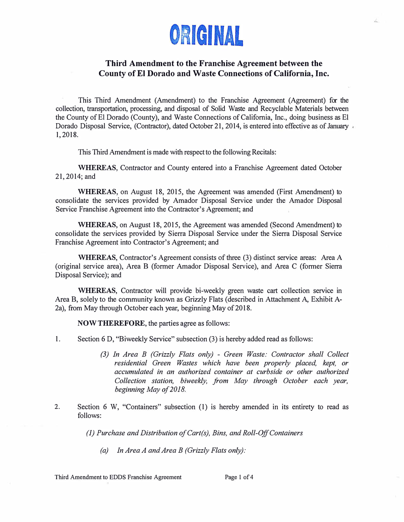

# **Third Amendment to the Franchise Agreement between the County of El Dorado and Waste Connections of California, Inc.**

This Third Amendment (Amendment) to the Franchise Agreement (Agreement) for the collection, transportation, processing, and disposal of Solid Waste and Recyclable Materials between the County of EI Dorado (County), and Waste Connections of California, Inc., doing business as El Dorado Disposal Service, (Contractor), dated October 21, 2014, is entered into effective as of January 1,2018.

This Third Amendment is made with respect to the following Recitals:

**WHEREAS,** Contractor and County entered into a Franchise Agreement dated October 21,2014;and

**WHEREAS,** on August 18, 2015, the Agreement was amended (First Amendment) to consolidate the services provided by Amador Disposal Service under the Amador Disposal Service Franchise Agreement into the Contractor's Agreement; and

**WHEREAS,** on August 18, 2015, the Agreement was amended (Second Amendment) to consolidate the services provided by Sierra Disposal Service under the Sierra Disposal Service Franchise Agreement into Contractor's Agreement; and

**WHEREAS,** Contractor's Agreement consists of three (3) distinct service areas: Area A (original service area), Area B (former Amador Disposal Service), and Area C (former Sierra Disposal Service); and

**WHEREAS,** Contractor will provide bi-weekly green waste cart collection service in Area B, solely to the community known as Grizzly Flats ( described in Attachment A, Exhibit A-2a), from May through October each year, beginning May of 2018.

**NOW THEREFORE,** the parties agree as follows:

1. Section 6 D, "Biweekly Service" subsection (3) is hereby added read as follows:

- *(3) In Area B (Grizzly Flats only) Green Waste: Contractor shall Collect residential Green Wastes which have been properly placed, kept, or accumulated in an authorized container at curbside or other authorized Collection station, biweekly, from May through October each year, beginning May of 2018.*
- 2. Section 6 W, "Containers" subsection (1) is hereby amended in its entirety to read as follows:

*(I) Purchase and Distribution ofCart(s), Bins, and Roll-Off Containers*

*(a) In Area A and Area B (Grizzly Flats only):*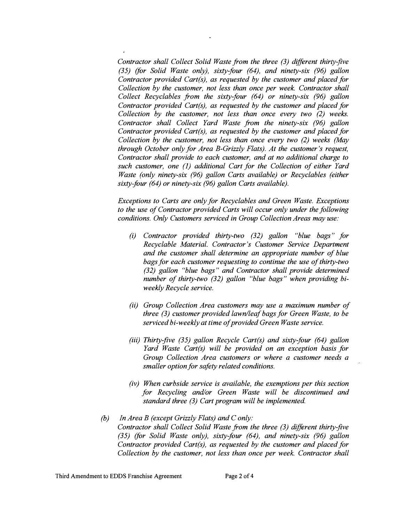*Contractor shall Collect Solid Waste from the three (3) different thirty-five (35) (for Solid Waste only), sixty-four (64), and ninety-six (96) gallon Contractor provided Cart(s), as requested by the customer and placed for Collection by the customer, not less than once per week. Contractor shall Collect Recyclables from the sixty-four (64) or ninety-six (96) gallon Contractor provided Cart(s), as requested by the customer and placed for Collection by the customer, not less than once every two (2) weeks. Contractor shall Collect Yard Waste from the ninety-six (96) gallon Contractor provided Cart(s), as requested by the customer and placed for Collection by the customer, not less than once every two (2) weeks (May through October only for Area B-Grizzly Flats). At the customer's request, Contractor shall provide to each customer, and at no additional charge to such customer, one (1) additional Cart for the Collection of either Yard Waste (only ninety-six (96) gallon Carts available) or Recyclables (either sixty-four (64) or ninety-six (96) gallon Carts available).*

*Exceptions to Carts are only for Recyclables and Green Waste. Exceptions to the use of Contractor provided Carts will occur only under the following conditions. Only Customers serviced in Group Collection Areas may use:* 

- *(i) Contractor provided thirty-two (32) gallon "blue bags" for Recyclable Material. Contractor's Customer Service Department and the customer shall determine an appropriate number of blue bags for each customer requesting to continue the use of thirty-two (32) gallon "blue bags" and Contractor shall provide determined number of thirty-two (32) gallon "blue bags" when providing biweekly Recycle service.*
- *(ii) Group Collection Area customers may use a maximum number of three (3) customer provided lawn/leaf bags for Green Waste, to be serviced bi-weekly at time of provided Green Waste service.*
- *(iii) Thirty-five (35) gallon Recycle Cart(s) and sixty-four (64) gallon Yard Waste Cart(s) will be provided on an exception basis for Group Collection Area customers or where a customer needs a smaller option for safety related conditions.*
- *(iv) When curbside service is available, the exemptions per this section for Recycling and/or Green Waste will be discontinued and standard three (3) Cart program will be implemented.*
- *(b) In Area B (except Grizzly Flats) and C only: Contractor shall Collect Solid Waste from the three (3) different thirty-five (35) (for Solid Waste only), sixty-four (64), and ninety-six (96) gallon Contractor provided Cart(s), as requested by the customer and placed for Collection by the customer, not less than once per week. Contractor shall*

 $\ddot{\phantom{a}}$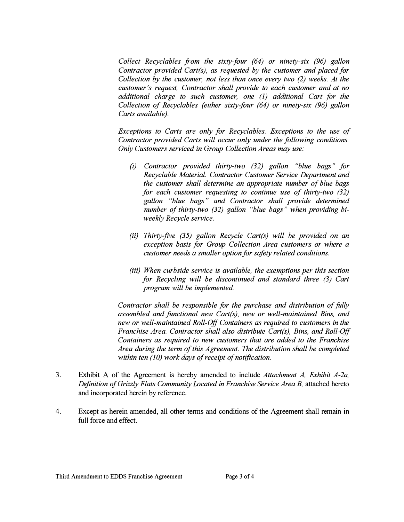*Collect Recyclables from the sixty-four (64) or ninety-six (96) gallon Contractor provided Cart(s), as requested by the customer and placed for Collection by the customer, not less than once every two (2) weeks. At the customer's request, Contractor shall provide to each customer and at no additional charge to such customer, one (1) additional Cart for the Collection of Recyclables (either sixty-four (64) or ninety-six (96) gallon Carts available).* 

*Exceptions to Carts are only for Recyclables. Exceptions to the use of Contractor provided Carts will occur only under the following conditions. Only Customers serviced in Group Collection Areas may use:* 

- *(i) Contractor provided thirty-two (32) gallon "blue bags" for Recyclable Material. Contractor Customer Service Department and the customer shall determine an appropriate number of blue bags for each customer requesting to continue use of thirty-two (32) gallon "blue bags" and Contractor shall provide determined number of thirty-two (32) gallon "blue bags" when providing biweekly Recycle service.*
- *(ii) Thirty-jive (35) gallon Recycle Cart(s) will be provided on an exception basis for Group Collection Area customers or where a customer needs a smaller option for safety related conditions.*
- *(iii) When curbside service is available, the exemptions per this section for Recycling will be discontinued and standard three (3) Cart program will be implemented.*

*Contractor shall be responsible for the purchase and distribution of fully assembled and functional new Cart(s), new or well-maintained Bins, and new or well-maintained Roll-Off Containers as required to customers in the Franchise Area. Contractor shall also distribute Cart(s), Bins, and Roll-Off Containers as required to new customers that are added to the Franchise Area during the term of this Agreement. The distribution shall be completed within ten (10) work days of receipt of notification.* 

- 3. Exhibit A of the Agreement is hereby amended to include *Attachment A, Exhibit A-2a,* Definition of Grizzly Flats Community Located in Franchise Service Area B, attached hereto and incorporated herein by reference.
- 4. Except as herein amended, all other terms and conditions of the Agreement shall remain in full force and effect.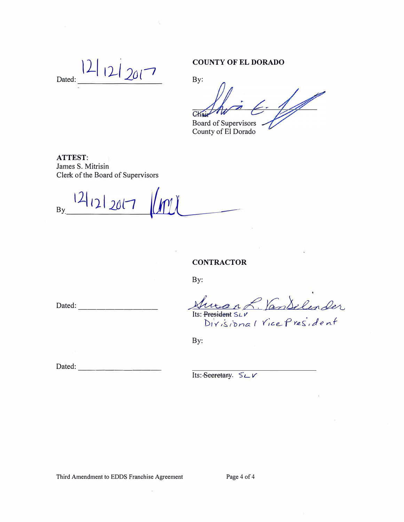$121207$ Dated:

### **COUNTY OF EL DORADO**

By:

 $\mathbb{Z}$ Chair **Board of Supervisors** 

County of El Dorado

**ATTEST:** James S. Mitrisin Clerk of the Board of Supervisors

 $121212017$  $By$ 

**CONTRACTOR** 

 $By:$ 

Dated: and the same state of the state of the state of the state of the state of the state of the state of the state of the state of the state of the state of the state of the state of the state of the state of the state o

Suran L. VanSelender Its: President SLV Divisional Vice President

By:

Dated:

Its: Seeretary. SLV